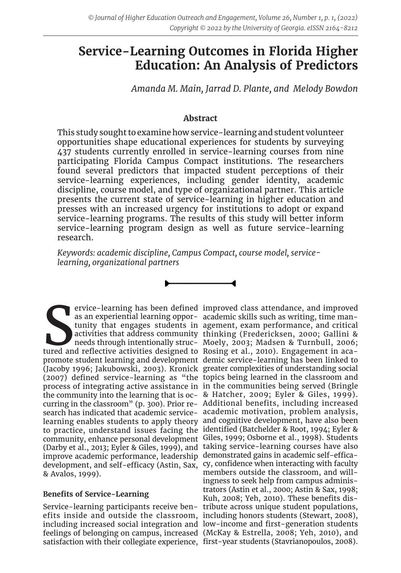# **Service-Learning Outcomes in Florida Higher Education: An Analysis of Predictors**

*Amanda M. Main, Jarrad D. Plante, and Melody Bowdon*

# **Abstract**

This study sought to examine how service-learning and student volunteer opportunities shape educational experiences for students by surveying 437 students currently enrolled in service-learning courses from nine participating Florida Campus Compact institutions. The researchers found several predictors that impacted student perceptions of their service-learning experiences, including gender identity, academic discipline, course model, and type of organizational partner. This article presents the current state of service-learning in higher education and presses with an increased urgency for institutions to adopt or expand service-learning programs. The results of this study will better inform service-learning program design as well as future service-learning research.

*Keywords: academic discipline, Campus Compact, course model, servicelearning, organizational partners*

Figure 2 and reflective activities designed to Rosing et al., 2010). Engagement in aca-<br>tunity that engages students in agement, exam performance, and critical<br>activities that address community thinking (Fredericksen, 2000 promote student learning and development demic service-learning has been linked to (Jacoby 1996; Jakubowski, 2003). Kronick greater complexities of understanding social (2007) defined service-learning as "the topics being learned in the classroom and process of integrating active assistance in in the communities being served (Bringle the community into the learning that is oc-& Hatcher, 2009; Eyler & Giles, 1999). curring in the classroom" (p. 300). Prior re-Additional benefits, including increased search has indicated that academic service-academic motivation, problem analysis, learning enables students to apply theory and cognitive development, have also been to practice, understand issues facing the identified (Batchelder & Root, 1994; Eyler & community, enhance personal development Giles, 1999; Osborne et al., 1998). Students (Darby et al., 2013; Eyler & Giles, 1999), and taking service-learning courses have also improve academic performance, leadership demonstrated gains in academic self-efficadevelopment, and self-efficacy (Astin, Sax, cy, confidence when interacting with faculty & Avalos, 1999).

# **Benefits of Service-Learning**

Service-learning participants receive ben-tribute across unique student populations, efits inside and outside the classroom, including honors students (Stewart, 2008), including increased social integration and low-income and first-generation students feelings of belonging on campus, increased (McKay & Estrella, 2008; Yeh, 2010), and satisfaction with their collegiate experience, first-year students (Stavrianopoulos, 2008).

ervice-learning has been defined improved class attendance, and improved as an experiential learning oppor-academic skills such as writing, time mantunity that engages students in agement, exam performance, and critical activities that address community thinking (Fredericksen, 2000; Gallini & needs through intentionally struc-Moely, 2003; Madsen & Turnbull, 2006; members outside the classroom, and willingness to seek help from campus administrators (Astin et al., 2000; Astin & Sax, 1998; Kuh, 2008; Yeh, 2010). These benefits dis-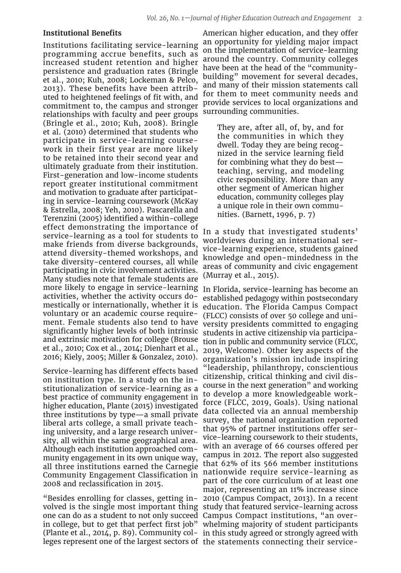#### **Institutional Benefits**

Institutions facilitating service-learning programming accrue benefits, such as increased student retention and higher persistence and graduation rates (Bringle et al., 2010; Kuh, 2008; Lockeman & Pelco, 2013). These benefits have been attributed to heightened feelings of fit with, and commitment to, the campus and stronger relationships with faculty and peer groups (Bringle et al., 2010; Kuh, 2008). Bringle et al. (2010) determined that students who participate in service-learning coursework in their first year are more likely to be retained into their second year and ultimately graduate from their institution. First-generation and low-income students report greater institutional commitment and motivation to graduate after participating in service-learning coursework (McKay & Estrella, 2008; Yeh, 2010). Pascarella and Terenzini (2005) identified a within-college effect demonstrating the importance of service-learning as a tool for students to make friends from diverse backgrounds, attend diversity-themed workshops, and take diversity-centered courses, all while participating in civic involvement activities. Many studies note that female students are more likely to engage in service-learning activities, whether the activity occurs domestically or internationally, whether it is voluntary or an academic course requirement. Female students also tend to have significantly higher levels of both intrinsic and extrinsic motivation for college (Brouse et al., 2010; Cox et al., 2014; Dienhart et al., 2016; Kiely, 2005; Miller & Gonzalez, 2010).

Service-learning has different effects based on institution type. In a study on the institutionalization of service-learning as a best practice of community engagement in higher education, Plante (2015) investigated three institutions by type—a small private liberal arts college, a small private teaching university, and a large research university, all within the same geographical area. Although each institution approached community engagement in its own unique way, all three institutions earned the Carnegie Community Engagement Classification in 2008 and reclassification in 2015.

one can do as a student to not only succeed Campus Compact institutions, "an overleges represent one of the largest sectors of the statements connecting their service-

American higher education, and they offer an opportunity for yielding major impact on the implementation of service-learning around the country. Community colleges have been at the head of the "communitybuilding" movement for several decades, and many of their mission statements call for them to meet community needs and provide services to local organizations and surrounding communities.

They are, after all, of, by, and for the communities in which they dwell. Today they are being recognized in the service learning field for combining what they do best teaching, serving, and modeling civic responsibility. More than any other segment of American higher education, community colleges play a unique role in their own communities. (Barnett, 1996, p. 7)

In a study that investigated students' worldviews during an international service-learning experience, students gained knowledge and open-mindedness in the areas of community and civic engagement (Murray et al., 2015).

"Besides enrolling for classes, getting in-2010 (Campus Compact, 2013). In a recent volved is the single most important thing study that featured service-learning across in college, but to get that perfect first job" whelming majority of student participants (Plante et al., 2014, p. 89). Community col-in this study agreed or strongly agreed with In Florida, service-learning has become an established pedagogy within postsecondary education. The Florida Campus Compact (FLCC) consists of over 50 college and university presidents committed to engaging students in active citizenship via participation in public and community service (FLCC, 2019, Welcome). Other key aspects of the organization's mission include inspiring "leadership, philanthropy, conscientious citizenship, critical thinking and civil discourse in the next generation" and working to develop a more knowledgeable workforce (FLCC, 2019, Goals). Using national data collected via an annual membership survey, the national organization reported that 95% of partner institutions offer service-learning coursework to their students, with an average of 66 courses offered per campus in 2012. The report also suggested that 62% of its 566 member institutions nationwide require service-learning as part of the core curriculum of at least one major, representing an 11% increase since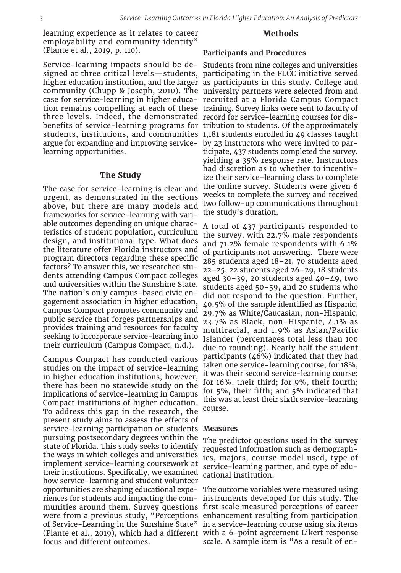learning experience as it relates to career employability and community identity" (Plante et al., 2019, p. 110).

three levels. Indeed, the demonstrated record for service-learning courses for disargue for expanding and improving service-by 23 instructors who were invited to parlearning opportunities.

#### **The Study**

The case for service-learning is clear and urgent, as demonstrated in the sections above, but there are many models and frameworks for service-learning with variable outcomes depending on unique characteristics of student population, curriculum design, and institutional type. What does the literature offer Florida instructors and program directors regarding these specific factors? To answer this, we researched students attending Campus Compact colleges and universities within the Sunshine State. The nation's only campus-based civic engagement association in higher education, Campus Compact promotes community and public service that forges partnerships and provides training and resources for faculty seeking to incorporate service-learning into their curriculum (Campus Compact, n.d.).

Campus Compact has conducted various studies on the impact of service-learning in higher education institutions; however, there has been no statewide study on the implications of service-learning in Campus Compact institutions of higher education. To address this gap in the research, the present study aims to assess the effects of service-learning participation on students **Measures** pursuing postsecondary degrees within the state of Florida. This study seeks to identify the ways in which colleges and universities implement service-learning coursework at their institutions. Specifically, we examined how service-learning and student volunteer focus and different outcomes.

#### **Methods**

#### **Participants and Procedures**

Service-learning impacts should be de-Students from nine colleges and universities signed at three critical levels—students, participating in the FLCC initiative served higher education institution, and the larger as participants in this study. College and community (Chupp & Joseph, 2010). The university partners were selected from and case for service-learning in higher educa-recruited at a Florida Campus Compact tion remains compelling at each of these training. Survey links were sent to faculty of benefits of service-learning programs for tribution to students. Of the approximately students, institutions, and communities 1,181 students enrolled in 49 classes taught ticipate, 437 students completed the survey, yielding a 35% response rate. Instructors had discretion as to whether to incentivize their service-learning class to complete the online survey. Students were given 6 weeks to complete the survey and received two follow-up communications throughout the study's duration.

> A total of 437 participants responded to the survey, with 22.7% male respondents and 71.2% female respondents with 6.1% of participants not answering. There were 285 students aged 18–21, 70 students aged 22–25, 22 students aged 26–29, 18 students aged  $30-39$ , 20 students aged  $40-49$ , two students aged 50–59, and 20 students who did not respond to the question. Further, 40.5% of the sample identified as Hispanic, 29.7% as White/Caucasian, non-Hispanic, 23.7% as Black, non-Hispanic, 4.1% as multiracial, and 1.9% as Asian/Pacific Islander (percentages total less than 100 due to rounding). Nearly half the student participants (46%) indicated that they had taken one service-learning course; for 18%, it was their second service-learning course; for 16%, their third; for 9%, their fourth; for 5%, their fifth; and 5% indicated that this was at least their sixth service-learning course.

The predictor questions used in the survey requested information such as demographics, majors, course model used, type of service-learning partner, and type of educational institution.

opportunities are shaping educational expe-The outcome variables were measured using riences for students and impacting the com-instruments developed for this study. The munities around them. Survey questions first scale measured perceptions of career were from a previous study, "Perceptions enhancement resulting from participation of Service-Learning in the Sunshine State" in a service-learning course using six items (Plante et al., 2019), which had a different with a 6-point agreement Likert response scale. A sample item is "As a result of en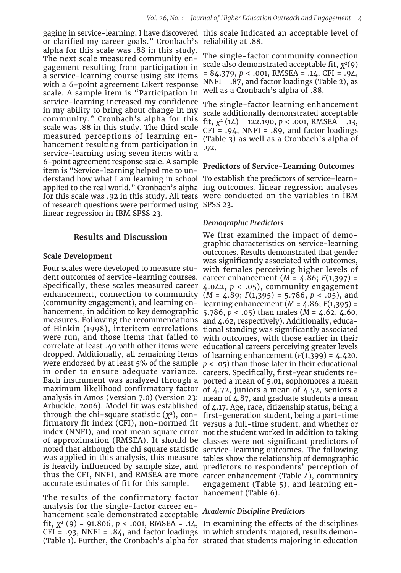or clarified my career goals." Cronbach's reliability at .88. alpha for this scale was .88 in this study. The next scale measured community engagement resulting from participation in a service-learning course using six items with a 6-point agreement Likert response scale. A sample item is "Participation in service-learning increased my confidence in my ability to bring about change in my community." Cronbach's alpha for this scale was .88 in this study. The third scale measured perceptions of learning enhancement resulting from participation in service-learning using seven items with a 6-point agreement response scale. A sample item is "Service-learning helped me to understand how what I am learning in school To establish the predictors of service-learnof research questions were performed using SPSS 23. linear regression in IBM SPSS 23.

## **Results and Discussion**

#### **Scale Development**

Four scales were developed to measure student outcomes of service-learning courses. career enhancement (*M* = 4.86; *F*(1,397) = Specifically, these scales measured career 4.042, *p* < .05), community engagement enhancement, connection to community (*M* = 4.89; *F*(1,395) = 5.786, *p* < .05), and (community engagement), and learning en-learning enhancement (*M* = 4.86; *F*(1,395) = hancement, in addition to key demographic 5.786, *p* < .05) than males (*M* = 4.62, 4.60, measures. Following the recommendations and 4.62, respectively). Additionally, educaof Hinkin (1998), interitem correlations tional standing was significantly associated were run, and those items that failed to with outcomes, with those earlier in their correlate at least .40 with other items were educational careers perceiving greater levels dropped. Additionally, all remaining items of learning enhancement (*F*(1,399) = 4.420, were endorsed by at least 5% of the sample  $p < .05$ ) than those later in their educational in order to ensure adequate variance. careers. Specifically, first-year students re-Each instrument was analyzed through a ported a mean of 5.01, sophomores a mean maximum likelihood confirmatory factor of 4.72, juniors a mean of 4.52, seniors a analysis in Amos (Version 7.0) (Version 23; mean of 4.87, and graduate students a mean Arbuckle, 2006). Model fit was established of 4.17. Age, race, citizenship status, being a through the chi-square statistic  $(Y^2)$ , con- first-generation student, being a part-time firmatory fit index (CFI), non-normed fit versus a full-time student, and whether or index (NNFI), and root mean square error not the student worked in addition to taking of approximation (RMSEA). It should be classes were not significant predictors of noted that although the chi square statistic service-learning outcomes. The following was applied in this analysis, this measure tables show the relationship of demographic is heavily influenced by sample size, and thus the CFI, NNFI, and RMSEA are more career enhancement (Table 4), community accurate estimates of fit for this sample.

The results of the confirmatory factor analysis for the single-factor career enhancement scale demonstrated acceptable *Academic Discipline Predictors* fit,  $X^2$  (9) = 91.806,  $p < .001$ , RMSEA = .14, In examining the effects of the disciplines CFI = .93, NNFI = .84, and factor loadings in which students majored, results demon-(Table 1). Further, the Cronbach's alpha for strated that students majoring in education

gaging in service-learning, I have discovered this scale indicated an acceptable level of

The single-factor community connection scale also demonstrated acceptable fit,  $\chi^2(9)$ = 84.379, *p* < .001, RMSEA = .14, CFI = .94, NNFI = .87, and factor loadings (Table 2), as well as a Cronbach's alpha of .88.

The single-factor learning enhancement scale additionally demonstrated acceptable fit, *X*2 (14) = 122.190, *p* < .001, RMSEA = .13,  $CFI = .94$ , NNFI = .89, and factor loadings (Table 3) as well as a Cronbach's alpha of .92.

### **Predictors of Service-Learning Outcomes**

applied to the real world." Cronbach's alpha ing outcomes, linear regression analyses for this scale was .92 in this study. All tests were conducted on the variables in IBM

#### *Demographic Predictors*

We first examined the impact of demographic characteristics on service-learning outcomes. Results demonstrated that gender was significantly associated with outcomes, with females perceiving higher levels of predictors to respondents' perception of engagement (Table 5), and learning enhancement (Table 6).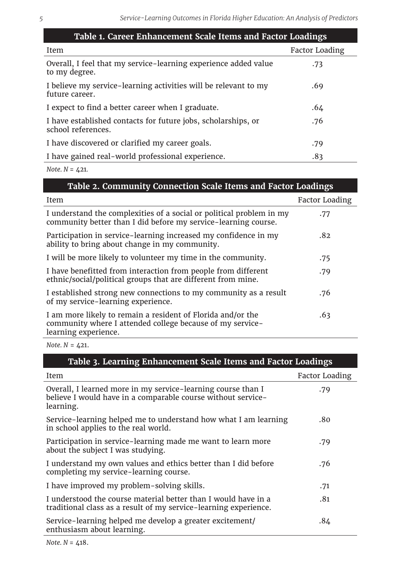| Table 1. Career Enhancement Scale Items and Factor Loadings                         |                       |  |  |  |  |  |  |  |
|-------------------------------------------------------------------------------------|-----------------------|--|--|--|--|--|--|--|
| Item                                                                                | <b>Factor Loading</b> |  |  |  |  |  |  |  |
| Overall, I feel that my service-learning experience added value<br>to my degree.    | .73                   |  |  |  |  |  |  |  |
| I believe my service-learning activities will be relevant to my<br>future career.   | .69                   |  |  |  |  |  |  |  |
| I expect to find a better career when I graduate.                                   | .64                   |  |  |  |  |  |  |  |
| I have established contacts for future jobs, scholarships, or<br>school references. | .76                   |  |  |  |  |  |  |  |
| I have discovered or clarified my career goals.                                     | .79                   |  |  |  |  |  |  |  |
| I have gained real-world professional experience.                                   | .83                   |  |  |  |  |  |  |  |

*Note. N* = 421*.*

| Table 2. Community Connection Scale Items and Factor Loadings                                                                                    |                       |
|--------------------------------------------------------------------------------------------------------------------------------------------------|-----------------------|
| Item                                                                                                                                             | <b>Factor Loading</b> |
| I understand the complexities of a social or political problem in my<br>community better than I did before my service-learning course.           | .77                   |
| Participation in service-learning increased my confidence in my<br>ability to bring about change in my community.                                | .82                   |
| I will be more likely to volunteer my time in the community.                                                                                     | .75                   |
| I have benefitted from interaction from people from different<br>ethnic/social/political groups that are different from mine.                    | .79                   |
| I established strong new connections to my community as a result<br>of my service-learning experience.                                           | .76                   |
| I am more likely to remain a resident of Florida and/or the<br>community where I attended college because of my service-<br>learning experience. | .63                   |

*Note. N* = 421.

| Table 3. Learning Enhancement Scale Items and Factor Loadings                                                                             |                |  |  |  |  |  |  |
|-------------------------------------------------------------------------------------------------------------------------------------------|----------------|--|--|--|--|--|--|
| Item                                                                                                                                      | Factor Loading |  |  |  |  |  |  |
| Overall, I learned more in my service-learning course than I<br>believe I would have in a comparable course without service-<br>learning. | .79            |  |  |  |  |  |  |
| Service-learning helped me to understand how what I am learning<br>in school applies to the real world.                                   | .80            |  |  |  |  |  |  |
| Participation in service-learning made me want to learn more<br>about the subject I was studying.                                         | .79            |  |  |  |  |  |  |
| I understand my own values and ethics better than I did before<br>completing my service-learning course.                                  | .76            |  |  |  |  |  |  |
| I have improved my problem-solving skills.                                                                                                | .71            |  |  |  |  |  |  |
| I understood the course material better than I would have in a<br>traditional class as a result of my service-learning experience.        | .81            |  |  |  |  |  |  |
| Service-learning helped me develop a greater excitement/<br>enthusiasm about learning.                                                    | .84            |  |  |  |  |  |  |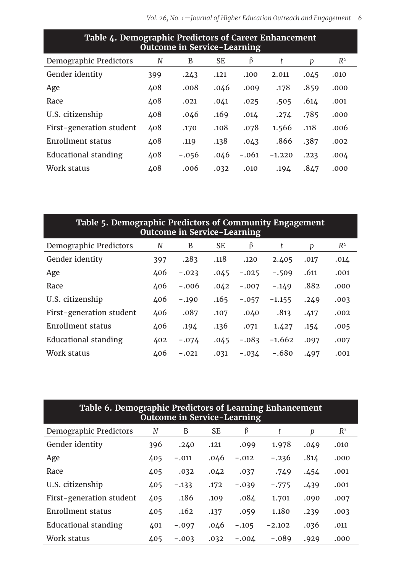| Table 4. Demographic Predictors of Career Emilancement<br><b>Outcome in Service-Learning</b> |     |         |           |         |          |      |       |  |  |  |  |  |
|----------------------------------------------------------------------------------------------|-----|---------|-----------|---------|----------|------|-------|--|--|--|--|--|
| Demographic Predictors                                                                       | N   | В       | <b>SE</b> | β       | t        | р    | $R^2$ |  |  |  |  |  |
| Gender identity                                                                              | 399 | .243    | .121      | .100    | 2.011    | .045 | .010  |  |  |  |  |  |
| Age                                                                                          | 408 | .008    | .046      | .009    | .178     | .859 | .000  |  |  |  |  |  |
| Race                                                                                         | 408 | .021    | .041      | .025    | .505     | .614 | .001  |  |  |  |  |  |
| U.S. citizenship                                                                             | 408 | .046    | .169      | .014    | .274     | .785 | .000  |  |  |  |  |  |
| First-generation student                                                                     | 408 | .170    | .108      | .078    | 1.566    | .118 | .006  |  |  |  |  |  |
| Enrollment status                                                                            | 408 | .119    | .138      | .043    | .866     | .387 | .002  |  |  |  |  |  |
| Educational standing                                                                         | 408 | $-.056$ | .046      | $-.061$ | $-1.220$ | .223 | .004  |  |  |  |  |  |
| Work status                                                                                  | 408 | .006    | .032      | .010    | .194     | .847 | .000  |  |  |  |  |  |

| Table 4. Demographic Predictors of Career Enhancement | Outcome in Service-Learning |                                 |  |  |
|-------------------------------------------------------|-----------------------------|---------------------------------|--|--|
|                                                       |                             | $\mathcal{L}$ and $\mathcal{L}$ |  |  |

| Table 5. Demographic Predictors of Community Engagement<br><b>Outcome in Service-Learning</b> |     |         |      |         |          |      |       |  |  |  |  |  |
|-----------------------------------------------------------------------------------------------|-----|---------|------|---------|----------|------|-------|--|--|--|--|--|
| Demographic Predictors                                                                        | N   | B       | SE   | β       | t        | р    | $R^2$ |  |  |  |  |  |
| Gender identity                                                                               | 397 | .283    | .118 | .120    | 2.405    | .017 | .014  |  |  |  |  |  |
| Age                                                                                           | 406 | $-.023$ | .045 | $-.025$ | $-.509$  | .611 | .001  |  |  |  |  |  |
| Race                                                                                          | 406 | $-.006$ | .042 | $-.007$ | $-.149$  | .882 | .000  |  |  |  |  |  |
| U.S. citizenship                                                                              | 406 | $-.190$ | .165 | $-.057$ | $-1.155$ | .249 | .003  |  |  |  |  |  |
| First-generation student                                                                      | 406 | .087    | .107 | .040    | .813     | .417 | .002  |  |  |  |  |  |
| Enrollment status                                                                             | 406 | .194    | .136 | .071    | 1.427    | .154 | .005  |  |  |  |  |  |
| Educational standing                                                                          | 402 | $-.074$ | .045 | $-.083$ | $-1.662$ | .097 | .007  |  |  |  |  |  |
| Work status                                                                                   | 406 | $-.021$ | .031 | $-.034$ | $-.680$  | .497 | .001  |  |  |  |  |  |

| Table 6. Demographic Predictors of Learning Enhancement<br><b>Outcome in Service-Learning</b> |     |         |           |         |          |      |       |  |  |  |  |  |  |
|-----------------------------------------------------------------------------------------------|-----|---------|-----------|---------|----------|------|-------|--|--|--|--|--|--|
| Demographic Predictors                                                                        | N   | B       | <b>SE</b> | β       | t        | p    | $R^2$ |  |  |  |  |  |  |
| Gender identity                                                                               | 396 | .240    | .121      | .099    | 1.978    | .049 | .010  |  |  |  |  |  |  |
| Age                                                                                           | 405 | $-.011$ | .046      | $-.012$ | $-.236$  | .814 | .000  |  |  |  |  |  |  |
| Race                                                                                          | 405 | .032    | .042      | .037    | .749     | .454 | .001  |  |  |  |  |  |  |
| U.S. citizenship                                                                              | 405 | $-.133$ | .172      | $-.039$ | $-.775$  | .439 | .001  |  |  |  |  |  |  |
| First-generation student                                                                      | 405 | .186    | .109      | .084    | 1.701    | .090 | .007  |  |  |  |  |  |  |
| Enrollment status                                                                             | 405 | .162    | .137      | .059    | 1.180    | .239 | .003  |  |  |  |  |  |  |
| Educational standing                                                                          | 401 | $-.097$ | .046      | $-.105$ | $-2.102$ | .036 | .011  |  |  |  |  |  |  |
| Work status                                                                                   | 405 | $-.003$ | .032      | $-.004$ | $-.089$  | .929 | .000  |  |  |  |  |  |  |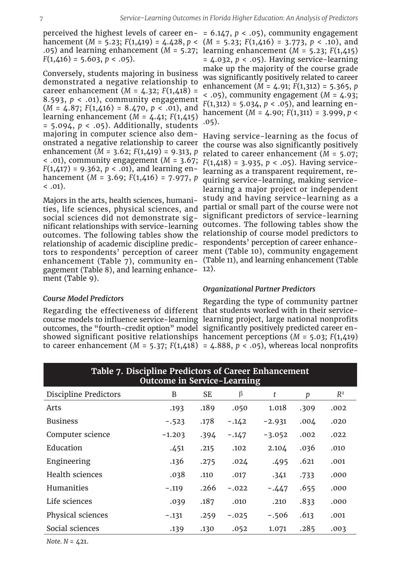$F(1,416) = 5.603, p < .05$ ).

Conversely, students majoring in business demonstrated a negative relationship to career enhancement (*M* = 4.32; *F*(1,418) = 8.593,  $p < .01$ ), community engagement (*M* = 4.87; *F*(1,416) = 8.470, *p* < .01), and learning enhancement (*M* = 4.41; *F*(1,415) = 5.094, *p* < .05). Additionally, students majoring in computer science also demonstrated a negative relationship to career enhancement (*M* = 3.62; *F*(1,419) = 9.313, *p* < .01), community engagement (*M* = 3.67; *F*(1,418) = 3.935, *p* < .05). Having service-*F*(1,417) = 9.362, *p* < .01), and learning enhancement (*M* = 3.69; *F*(1,416) = 7.977, *p*   $(0.01)$ .

Majors in the arts, health sciences, humanirelationship of academic discipline predic-respondents' perception of career enhancegagement (Table 8), and learning enhance-12). ment (Table 9).

perceived the highest levels of career en-= 6.147, *p* < .05), community engagement hancement (*M* = 5.23; *F*(1,419) = 4.428, *p* < (*M* = 5.23; *F*(1,416) = 3.773, *p* < .10), and .05) and learning enhancement (*M* = 5.27; learning enhancement (*M* = 5.23; *F*(1,415) = 4.032, *p* < .05). Having service-learning make up the majority of the course grade was significantly positively related to career enhancement (*M* = 4.91; *F*(1,312) = 5.365, *p*   $<$  .05), community engagement ( $M = 4.93$ ;  $F(1,312) = 5.034, p < .05$ , and learning enhancement (*M* = 4.90; *F*(1,311) = 3.999, *p* < .05).

ties, life sciences, physical sciences, and partial or small part of the course were not social sciences did not demonstrate sig-significant predictors of service-learning nificant relationships with service-learning outcomes. The following tables show the outcomes. The following tables show the relationship of course model predictors to tors to respondents' perception of career ment (Table 10), community engagement enhancement (Table 7), community en-(Table 11), and learning enhancement (Table Having service-learning as the focus of the course was also significantly positively related to career enhancement (*M* = 5.07; learning as a transparent requirement, requiring service-learning, making servicelearning a major project or independent study and having service-learning as a

#### *Organizational Partner Predictors*

# *Course Model Predictors*

Regarding the effectiveness of different that students worked with in their servicecourse models to influence service-learning learning project, large national nonprofits outcomes, the "fourth-credit option" model significantly positively predicted career enshowed significant positive relationships hancement perceptions (*M* = 5.03; *F*(1,419) to career enhancement  $(M = 5.37; F(1,418) = 4.888, p < .05)$ , whereas local nonprofits Regarding the type of community partner

| rabic 7: Bhociphile ricaletors of career Billiamechielle<br><b>Outcome in Service-Learning</b> |          |           |         |          |      |       |  |  |  |  |  |  |  |
|------------------------------------------------------------------------------------------------|----------|-----------|---------|----------|------|-------|--|--|--|--|--|--|--|
| Discipline Predictors                                                                          | B        | <b>SE</b> | β       | t        | p    | $R^2$ |  |  |  |  |  |  |  |
| Arts                                                                                           | .193     | .189      | .050    | 1.018    | .309 | .002  |  |  |  |  |  |  |  |
| <b>Business</b>                                                                                | $-.523$  | .178      | $-.142$ | $-2.931$ | .004 | .020  |  |  |  |  |  |  |  |
| Computer science                                                                               | $-1.203$ | .394      | $-.147$ | $-3.052$ | .002 | .022  |  |  |  |  |  |  |  |
| Education                                                                                      | .451     | .215      | .102    | 2.104    | .036 | .010  |  |  |  |  |  |  |  |
| Engineering                                                                                    | .136     | .275      | .024    | .495     | .621 | .001  |  |  |  |  |  |  |  |
| Health sciences                                                                                | .038     | .110      | .017    | .341     | .733 | .000  |  |  |  |  |  |  |  |
| Humanities                                                                                     | $-.119$  | .266      | $-.022$ | $-.447$  | .655 | .000  |  |  |  |  |  |  |  |
| Life sciences                                                                                  | .039     | .187      | .010    | .210     | .833 | .000  |  |  |  |  |  |  |  |
| Physical sciences                                                                              | $-.131$  | .259      | $-.025$ | $-.506$  | .613 | .001  |  |  |  |  |  |  |  |
| Social sciences                                                                                | .139     | .130      | .052    | 1.071    | .285 | .003  |  |  |  |  |  |  |  |

**Table 7. Discipline Predictors of Career Enhancement** 

 $Note. N = 421.$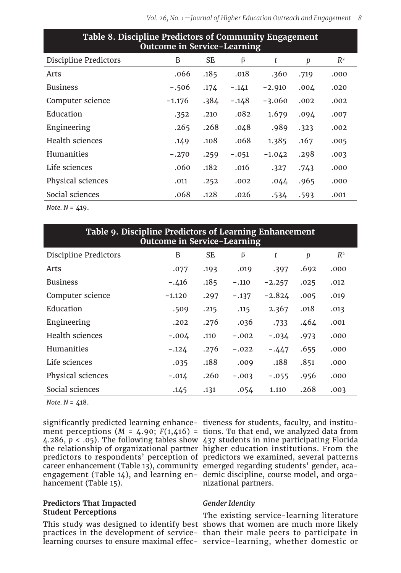| Table of Discipline Ficultions of Community Engagement<br><b>Outcome in Service-Learning</b> |          |      |         |          |      |       |  |  |  |  |  |  |  |
|----------------------------------------------------------------------------------------------|----------|------|---------|----------|------|-------|--|--|--|--|--|--|--|
| Discipline Predictors                                                                        | B        | SE.  | β       | t        | p    | $R^2$ |  |  |  |  |  |  |  |
| Arts                                                                                         | .066     | .185 | .018    | .360     | .719 | .000  |  |  |  |  |  |  |  |
| <b>Business</b>                                                                              | $-.506$  | .174 | $-.141$ | $-2.910$ | .004 | .020  |  |  |  |  |  |  |  |
| Computer science                                                                             | $-1.176$ | .384 | $-.148$ | $-3.060$ | .002 | .002  |  |  |  |  |  |  |  |
| Education                                                                                    | .352     | .210 | .082    | 1.679    | .094 | .007  |  |  |  |  |  |  |  |
| Engineering                                                                                  | .265     | .268 | .048    | .989     | .323 | .002  |  |  |  |  |  |  |  |
| Health sciences                                                                              | .149     | .108 | .068    | 1.385    | .167 | .005  |  |  |  |  |  |  |  |
| Humanities                                                                                   | $-.270$  | .259 | $-.051$ | $-1.042$ | .298 | .003  |  |  |  |  |  |  |  |
| Life sciences                                                                                | .060     | .182 | .016    | .327     | .743 | .000  |  |  |  |  |  |  |  |
| Physical sciences                                                                            | .011     | .252 | .002    | .044     | .965 | .000  |  |  |  |  |  |  |  |
| Social sciences                                                                              | .068     | .128 | .026    | .534     | .593 | .001  |  |  |  |  |  |  |  |

**Table 8. Discipline Predictors of Community Engagement** 

*Note. N* = 419.

| Table 9. Discipline Predictors of Learning Enhancement<br><b>Outcome in Service-Learning</b> |          |           |         |          |      |       |  |  |  |  |  |  |  |
|----------------------------------------------------------------------------------------------|----------|-----------|---------|----------|------|-------|--|--|--|--|--|--|--|
| <b>Discipline Predictors</b>                                                                 | B        | <b>SE</b> | β       | t        | p    | $R^2$ |  |  |  |  |  |  |  |
| Arts                                                                                         | .077     | .193      | .019    | .397     | .692 | .000  |  |  |  |  |  |  |  |
| <b>Business</b>                                                                              | $-.416$  | .185      | $-.110$ | $-2.257$ | .025 | .012  |  |  |  |  |  |  |  |
| Computer science                                                                             | $-1.120$ | .297      | $-.137$ | $-2.824$ | .005 | .019  |  |  |  |  |  |  |  |
| Education                                                                                    | .509     | .215      | .115    | 2.367    | .018 | .013  |  |  |  |  |  |  |  |
| Engineering                                                                                  | .202     | .276      | .036    | .733     | .464 | .001  |  |  |  |  |  |  |  |
| Health sciences                                                                              | $-.004$  | .110      | $-.002$ | $-.034$  | .973 | .000  |  |  |  |  |  |  |  |
| <b>Humanities</b>                                                                            | $-.124$  | .276      | $-.022$ | $-.447$  | .655 | .000  |  |  |  |  |  |  |  |
| Life sciences                                                                                | .035     | .188      | .009    | .188     | .851 | .000  |  |  |  |  |  |  |  |
| Physical sciences                                                                            | $-.014$  | .260      | $-.003$ | $-.055$  | .956 | .000  |  |  |  |  |  |  |  |
| Social sciences                                                                              | .145     | .131      | .054    | 1.110    | .268 | .003  |  |  |  |  |  |  |  |

*Note.*  $N = 418$ .

significantly predicted learning enhance-tiveness for students, faculty, and institucareer enhancement (Table 13), community emerged regarding students' gender, acaengagement (Table 14), and learning en-demic discipline, course model, and orgahancement (Table 15).

### **Predictors That Impacted Student Perceptions**

This study was designed to identify best shows that women are much more likely practices in the development of service-than their male peers to participate in learning courses to ensure maximal effec-service-learning, whether domestic or

ment perceptions (*M* = 4.90; *F*(1,416) = tions. To that end, we analyzed data from 4.286, *p* < .05). The following tables show 437 students in nine participating Florida the relationship of organizational partner higher education institutions. From the predictors to respondents' perception of predictors we examined, several patterns nizational partners.

# *Gender Identity*

The existing service-learning literature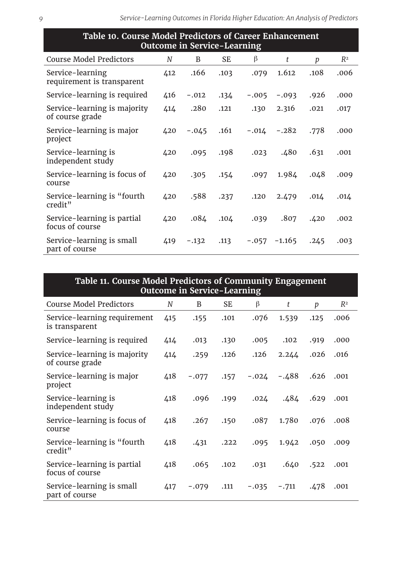| Table 10. Course Model Predictors of Career Enhancement<br><b>Outcome in Service-Learning</b> |     |         |      |         |          |             |       |  |  |  |  |
|-----------------------------------------------------------------------------------------------|-----|---------|------|---------|----------|-------------|-------|--|--|--|--|
| <b>Course Model Predictors</b>                                                                | N   | B       | SE   | β       | t        | p           | $R^2$ |  |  |  |  |
| Service-learning<br>requirement is transparent                                                | 412 | .166    | .103 | .079    | 1.612    | .108        | .006  |  |  |  |  |
| Service-learning is required                                                                  | 416 | $-.012$ | .134 | $-.005$ | $-.093$  | .926        | .000  |  |  |  |  |
| Service-learning is majority<br>of course grade                                               | 414 | .280    | .121 | .130    | 2.316    | .021        | .017  |  |  |  |  |
| Service-learning is major<br>project                                                          | 420 | $-.045$ | .161 | $-.014$ | $-.282$  | .778        | .000  |  |  |  |  |
| Service-learning is<br>independent study                                                      | 420 | .095    | .198 | .023    | .480     | .631        | .001  |  |  |  |  |
| Service-learning is focus of<br>course                                                        | 420 | .305    | .154 | .097    | 1.984    | .048        | .009  |  |  |  |  |
| Service-learning is "fourth"<br>credit"                                                       | 420 | .588    | .237 | .120    | 2.479    | $.01\Delta$ | .014  |  |  |  |  |
| Service-learning is partial<br>focus of course                                                | 420 | .084    | .104 | .039    | .807     | .420        | .002  |  |  |  |  |
| Service-learning is small<br>part of course                                                   | 419 | $-.132$ | .113 | $-.057$ | $-1.165$ | .245        | .003  |  |  |  |  |

| Table 11. Course Model Predictors of Community Engagement<br><b>Outcome in Service-Learning</b> |     |         |           |         |         |      |       |  |  |  |  |
|-------------------------------------------------------------------------------------------------|-----|---------|-----------|---------|---------|------|-------|--|--|--|--|
| <b>Course Model Predictors</b>                                                                  | N   | B       | <b>SE</b> | β       | t       | p    | $R^2$ |  |  |  |  |
| Service-learning requirement<br>is transparent                                                  | 415 | .155    | .101      | .076    | 1.539   | .125 | .006  |  |  |  |  |
| Service-learning is required                                                                    | 414 | .013    | .130      | .005    | .102    | .919 | .000  |  |  |  |  |
| Service-learning is majority<br>of course grade                                                 | 414 | .259    | .126      | .126    | 2.244   | .026 | .016  |  |  |  |  |
| Service-learning is major<br>project                                                            | 418 | $-.077$ | .157      | $-.024$ | $-.488$ | .626 | .001  |  |  |  |  |
| Service-learning is<br>independent study                                                        | 418 | .096    | .199      | .024    | .484    | .629 | .001  |  |  |  |  |
| Service-learning is focus of<br>course                                                          | 418 | .267    | .150      | .087    | 1.780   | .076 | .008  |  |  |  |  |
| Service-learning is "fourth<br>credit"                                                          | 418 | .431    | .222      | .095    | 1.942   | .050 | .009  |  |  |  |  |
| Service-learning is partial<br>focus of course                                                  | 418 | .065    | .102      | .031    | .640    | .522 | .001  |  |  |  |  |
| Service-learning is small<br>part of course                                                     | 417 | $-.079$ | .111      | $-.035$ | $-.711$ | .478 | .001  |  |  |  |  |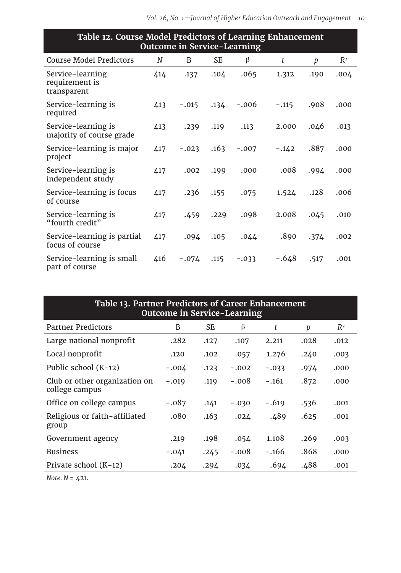| Table 12. Course Model Predictors of Learning Enhancement<br><b>Outcome in Service-Learning</b> |     |         |           |         |         |      |       |  |
|-------------------------------------------------------------------------------------------------|-----|---------|-----------|---------|---------|------|-------|--|
| <b>Course Model Predictors</b>                                                                  | N   | B       | <b>SE</b> | β       | t       | p    | $R^2$ |  |
| Service-learning<br>requirement is<br>transparent                                               | 414 | .137    | .104      | .065    | 1.312   | .190 | .004  |  |
| Service-learning is<br>required                                                                 | 413 | $-.015$ | .134      | $-.006$ | $-.115$ | .908 | .000  |  |
| Service-learning is<br>majority of course grade                                                 | 413 | .239    | .119      | .113    | 2.000   | .046 | .013  |  |
| Service-learning is major<br>project                                                            | 417 | $-.023$ | .163      | $-.007$ | $-.142$ | .887 | .000  |  |
| Service-learning is<br>independent study                                                        | 417 | .002    | .199      | .000    | .008    | .994 | .000  |  |
| Service-learning is focus<br>of course                                                          | 417 | .236    | .155      | .075    | 1.524   | .128 | .006  |  |
| Service-learning is<br>"fourth credit"                                                          | 417 | .459    | .229      | .098    | 2.008   | .045 | .010  |  |
| Service-learning is partial<br>focus of course                                                  | 417 | .094    | .105      | .044    | .890    | .374 | .002  |  |
| Service-learning is small<br>part of course                                                     | 416 | $-.074$ | .115      | $-.033$ | $-.648$ | .517 | .001  |  |

| Table 13. Partner Predictors of Career Enhancement<br><b>Outcome in Service-Learning</b> |         |      |         |         |      |       |  |  |
|------------------------------------------------------------------------------------------|---------|------|---------|---------|------|-------|--|--|
| <b>Partner Predictors</b>                                                                | B       | SE   | β       | t       | p    | $R^2$ |  |  |
| Large national nonprofit                                                                 | .282    | .127 | .107    | 2.211   | .028 | .012  |  |  |
| Local nonprofit                                                                          | .120    | .102 | .057    | 1.276   | .240 | .003  |  |  |
| Public school (K-12)                                                                     | $-.004$ | .123 | $-.002$ | $-.033$ | .974 | .000  |  |  |
| Club or other organization on<br>college campus                                          | $-.019$ | .119 | $-.008$ | $-.161$ | .872 | .000  |  |  |
| Office on college campus                                                                 | $-.087$ | .141 | $-.030$ | $-.619$ | .536 | .001  |  |  |
| Religious or faith-affiliated<br>group                                                   | .080    | .163 | .024    | .489    | .625 | .001  |  |  |
| Government agency                                                                        | .219    | .198 | .054    | 1.108   | .269 | .003  |  |  |
| <b>Business</b>                                                                          | $-.041$ | .245 | $-.008$ | $-.166$ | .868 | .000  |  |  |
| Private school (K-12)                                                                    | .204    | .294 | .034    | .694    | .488 | .001  |  |  |

*Note. N* = 421.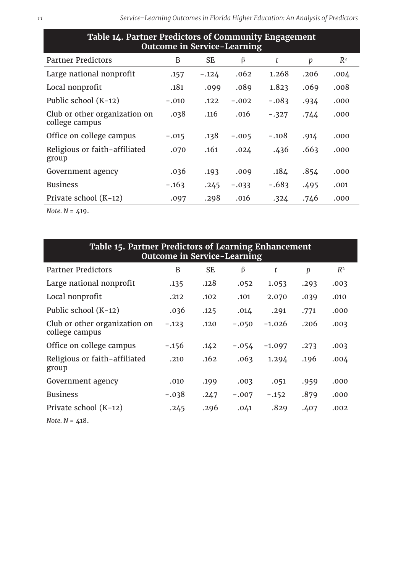| Table 14. Partner Predictors of Community Engagement<br><b>Outcome in Service-Learning</b> |         |           |         |         |      |       |  |  |
|--------------------------------------------------------------------------------------------|---------|-----------|---------|---------|------|-------|--|--|
| Partner Predictors                                                                         | B       | <b>SE</b> | β       | t       | p    | $R^2$ |  |  |
| Large national nonprofit                                                                   | .157    | $-.124$   | .062    | 1.268   | .206 | .004  |  |  |
| Local nonprofit                                                                            | .181    | .099      | .089    | 1.823   | .069 | .008  |  |  |
| Public school (K-12)                                                                       | $-.010$ | .122      | $-.002$ | $-.083$ | .934 | .000  |  |  |
| Club or other organization on<br>college campus                                            | .038    | .116      | .016    | $-.327$ | .744 | .000  |  |  |
| Office on college campus                                                                   | $-.015$ | .138      | $-.005$ | $-.108$ | .914 | .000  |  |  |
| Religious or faith-affiliated<br>group                                                     | .070    | .161      | .024    | .436    | .663 | .000  |  |  |
| Government agency                                                                          | .036    | .193      | .009    | .184    | .854 | .000  |  |  |
| <b>Business</b>                                                                            | $-.163$ | .245      | $-.033$ | $-.683$ | .495 | .001  |  |  |
| Private school (K-12)                                                                      | .097    | .298      | .016    | .324    | .746 | .000  |  |  |

*Note. N* = 419.

| Table 15. Partner Predictors of Learning Enhancement<br><b>Outcome in Service-Learning</b> |         |           |         |          |      |       |  |  |
|--------------------------------------------------------------------------------------------|---------|-----------|---------|----------|------|-------|--|--|
| Partner Predictors                                                                         | B       | <b>SE</b> | β       | t        | р    | $R^2$ |  |  |
| Large national nonprofit                                                                   | .135    | .128      | .052    | 1.053    | .293 | .003  |  |  |
| Local nonprofit                                                                            | .212    | .102      | .101    | 2.070    | .039 | .010  |  |  |
| Public school (K-12)                                                                       | .036    | .125      | .014    | .291     | .771 | .000  |  |  |
| Club or other organization on<br>college campus                                            | $-.123$ | .120      | $-.050$ | $-1.026$ | .206 | .003  |  |  |
| Office on college campus                                                                   | $-.156$ | .142      | $-.054$ | $-1.097$ | .273 | .003  |  |  |
| Religious or faith-affiliated<br>group                                                     | .210    | .162      | .063    | 1.294    | .196 | .004  |  |  |
| Government agency                                                                          | .010    | .199      | .003    | .051     | .959 | .000  |  |  |
| <b>Business</b>                                                                            | $-.038$ | .247      | $-.007$ | $-.152$  | .879 | .000  |  |  |
| Private school (K-12)                                                                      | .245    | .296      | .041    | .829     | .407 | .002  |  |  |

*Note. N* = 418.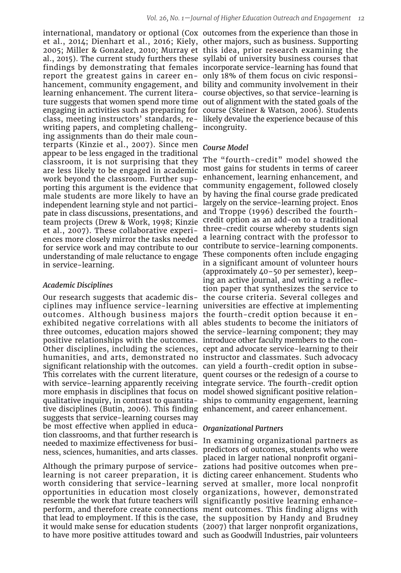report the greatest gains in career en-only 18% of them focus on civic responsiwriting papers, and completing challeng-incongruity. ing assignments than do their male counterparts (Kinzie et al., 2007). Since men *Course Model* appear to be less engaged in the traditional work beyond the classroom. Further supporting this argument is the evidence that male students are more likely to have an independent learning style and not participate in class discussions, presentations, and team projects (Drew & Work, 1998; Kinzie et al., 2007). These collaborative experifor service work and may contribute to our understanding of male reluctance to engage in service-learning.

## *Academic Disciplines*

outcomes. Although business majors the fourth-credit option because it enpositive relationships with the outcomes. introduce other faculty members to the consignificant relationship with the outcomes. can yield a fourth-credit option in subsemore emphasis in disciplines that focus on model showed significant positive relationtive disciplines (Butin, 2006). This finding enhancement, and career enhancement. suggests that service-learning courses may be most effective when applied in education classrooms, and that further research is ness, sciences, humanities, and arts classes.

Although the primary purpose of service-zations had positive outcomes when preresemble the work that future teachers will significantly positive learning enhanceto have more positive attitudes toward and such as Goodwill Industries, pair volunteers

international, mandatory or optional (Cox outcomes from the experience than those in et al., 2014; Dienhart et al., 2016; Kiely, other majors, such as business. Supporting 2005; Miller & Gonzalez, 2010; Murray et this idea, prior research examining the al., 2015). The current study furthers these syllabi of university business courses that findings by demonstrating that females incorporate service-learning has found that hancement, community engagement, and bility and community involvement in their learning enhancement. The current litera-course objectives, so that service-learning is ture suggests that women spend more time out of alignment with the stated goals of the engaging in activities such as preparing for course (Steiner & Watson, 2006). Students class, meeting instructors' standards, re-likely devalue the experience because of this

classroom, it is not surprising that they The "fourth-credit" model showed the are less likely to be engaged in academic most gains for students in terms of career ences more closely mirror the tasks needed a learning contract with the professor to Our research suggests that academic dis-the course criteria. Several colleges and ciplines may influence service-learning universities are effective at implementing exhibited negative correlations with all ables students to become the initiators of three outcomes, education majors showed the service-learning component; they may Other disciplines, including the sciences, cept and advocate service-learning to their humanities, and arts, demonstrated no instructor and classmates. Such advocacy This correlates with the current literature, quent courses or the redesign of a course to with service-learning apparently receiving integrate service. The fourth-credit option qualitative inquiry, in contrast to quantita-ships to community engagement, learning enhancement, learning enhancement, and community engagement, followed closely by having the final course grade predicated largely on the service-learning project. Enos and Troppe (1996) described the fourthcredit option as an add-on to a traditional three-credit course whereby students sign contribute to service-learning components. These components often include engaging in a significant amount of volunteer hours (approximately 40–50 per semester), keeping an active journal, and writing a reflection paper that synthesizes the service to

#### *Organizational Partners*

needed to maximize effectiveness for busi-In examining organizational partners as learning is not career preparation, it is dicting career enhancement. Students who worth considering that service-learning served at smaller, more local nonprofit opportunities in education most closely organizations, however, demonstrated perform, and therefore create connections ment outcomes. This finding aligns with that lead to employment. If this is the case, the supposition by Handy and Brudney it would make sense for education students (2007) that larger nonprofit organizations, predictors of outcomes, students who were placed in larger national nonprofit organi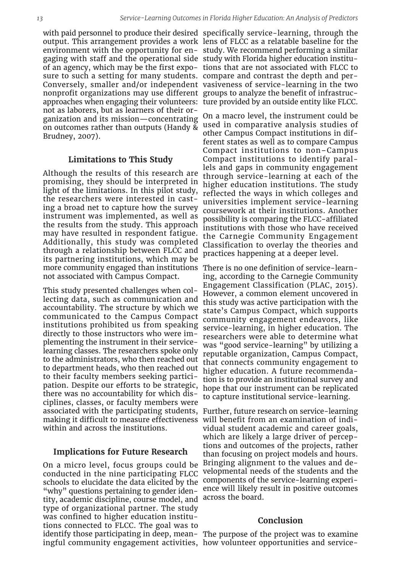gaging with staff and the operational side study with Florida higher education institusure to such a setting for many students. compare and contrast the depth and pernonprofit organizations may use different groups to analyze the benefit of infrastrucapproaches when engaging their volunteers: ture provided by an outside entity like FLCC. not as laborers, but as learners of their organization and its mission—concentrating on outcomes rather than outputs (Handy & Brudney, 2007).

### **Limitations to This Study**

Although the results of this research are promising, they should be interpreted in light of the limitations. In this pilot study, the researchers were interested in casting a broad net to capture how the survey instrument was implemented, as well as the results from the study. This approach may have resulted in respondent fatigue. Additionally, this study was completed through a relationship between FLCC and its partnering institutions, which may be more community engaged than institutions There is no one definition of service-learnnot associated with Campus Compact.

This study presented challenges when collecting data, such as communication and accountability. The structure by which we communicated to the Campus Compact institutions prohibited us from speaking directly to those instructors who were implementing the instrument in their servicelearning classes. The researchers spoke only to the administrators, who then reached out to department heads, who then reached out to their faculty members seeking participation. Despite our efforts to be strategic, there was no accountability for which disciplines, classes, or faculty members were associated with the participating students, making it difficult to measure effectiveness within and across the institutions.

#### **Implications for Future Research**

On a micro level, focus groups could be conducted in the nine participating FLCC schools to elucidate the data elicited by the "why" questions pertaining to gender identity, academic discipline, course model, and across the board. type of organizational partner. The study was confined to higher education institutions connected to FLCC. The goal was to ingful community engagement activities, how volunteer opportunities and service-

with paid personnel to produce their desired specifically service-learning, through the output. This arrangement provides a work lens of FLCC as a relatable baseline for the environment with the opportunity for en-study. We recommend performing a similar of an agency, which may be the first expo-tions that are not associated with FLCC to Conversely, smaller and/or independent vasiveness of service-learning in the two

> On a macro level, the instrument could be used in comparative analysis studies of other Campus Compact institutions in different states as well as to compare Campus Compact institutions to non–Campus Compact institutions to identify parallels and gaps in community engagement through service-learning at each of the higher education institutions. The study reflected the ways in which colleges and universities implement service-learning coursework at their institutions. Another possibility is comparing the FLCC-affiliated institutions with those who have received the Carnegie Community Engagement Classification to overlay the theories and practices happening at a deeper level.

> ing, according to the Carnegie Community Engagement Classification (PLAC, 2015). However, a common element uncovered in this study was active participation with the state's Campus Compact, which supports community engagement endeavors, like service-learning, in higher education. The researchers were able to determine what was "good service-learning" by utilizing a reputable organization, Campus Compact, that connects community engagement to higher education. A future recommendation is to provide an institutional survey and hope that our instrument can be replicated to capture institutional service-learning.

> Further, future research on service-learning will benefit from an examination of individual student academic and career goals, which are likely a large driver of perceptions and outcomes of the projects, rather than focusing on project models and hours. Bringing alignment to the values and developmental needs of the students and the components of the service-learning experience will likely result in positive outcomes

#### **Conclusion**

identify those participating in deep, mean-The purpose of the project was to examine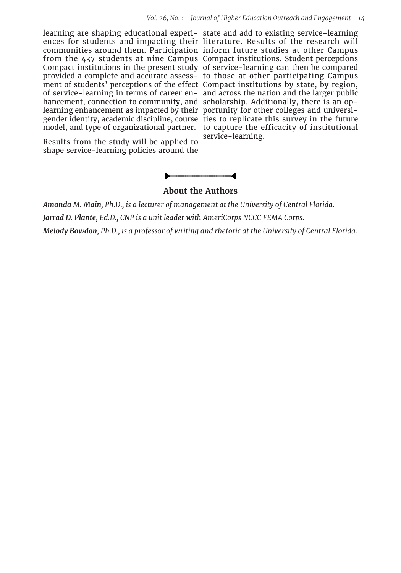learning are shaping educational experi-state and add to existing service-learning ences for students and impacting their literature. Results of the research will communities around them. Participation inform future studies at other Campus from the 437 students at nine Campus Compact institutions. Student perceptions Compact institutions in the present study of service-learning can then be compared provided a complete and accurate assess-to those at other participating Campus ment of students' perceptions of the effect Compact institutions by state, by region, of service-learning in terms of career en-and across the nation and the larger public hancement, connection to community, and scholarship. Additionally, there is an oplearning enhancement as impacted by their portunity for other colleges and universigender identity, academic discipline, course ties to replicate this survey in the future model, and type of organizational partner. to capture the efficacity of institutional

Results from the study will be applied to shape service-learning policies around the

service-learning.



*Amanda M. Main, Ph.D., is a lecturer of management at the University of Central Florida. Jarrad D. Plante, Ed.D., CNP is a unit leader with AmeriCorps NCCC FEMA Corps.*

*Melody Bowdon, Ph.D., is a professor of writing and rhetoric at the University of Central Florida.*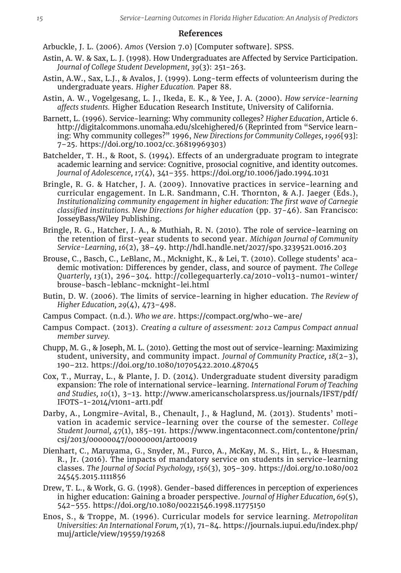#### **References**

- Arbuckle, J. L. (2006). *Amos* (Version 7.0) [Computer software]. SPSS.
- Astin, A. W. & Sax, L. J. (1998). How Undergraduates are Affected by Service Participation. *Journal of College Student Development, 39*(3): 251-263.
- Astin, A.W., Sax, L.J., & Avalos, J. (1999). Long-term effects of volunteerism during the undergraduate years. *Higher Education.* Paper 88.
- Astin, A. W., Vogelgesang, L. J., Ikeda, E. K., & Yee, J. A. (2000). *How service-learning affects students.* Higher Education Research Institute, University of California.
- Barnett, L. (1996). Service-learning: Why community colleges? *Higher Education*, Article 6. http://digitalcommons.unomaha.edu/slcehighered/6 (Reprinted from "Service learning: Why community colleges?" 1996, *New Directions for Community Colleges, 1996*[93]: 7–25. https://doi.org/10.1002/cc.36819969303)

Batchelder, T. H., & Root, S. (1994). Effects of an undergraduate program to integrate academic learning and service: Cognitive, prosocial cognitive, and identity outcomes. *Journal of Adolescence, 17*(4), 341–355. https://doi.org/10.1006/jado.1994.1031

- Bringle, R. G. & Hatcher, J. A. (2009). Innovative practices in service-learning and curricular engagement. In L.R. Sandmann, C.H. Thornton, & A.J. Jaeger (Eds.), *Institutionalizing community engagement in higher education: The first wave of Carnegie classified institutions. New Directions for higher education* (pp. 37-46). San Francisco: JosseyBass/Wiley Publishing.
- Bringle, R. G., Hatcher, J. A., & Muthiah, R. N. (2010). The role of service-learning on the retention of first-year students to second year. *Michigan Journal of Community Service-Learning, 16*(2), 38–49. http://hdl.handle.net/2027/spo.3239521.0016.203
- Brouse, C., Basch, C., LeBlanc, M., Mcknight, K., & Lei, T. (2010). College students' academic motivation: Differences by gender, class, and source of payment. *The College Quarterly, 13*(1), 296–304. http://collegequarterly.ca/2010-vol13-num01-winter/ brouse-basch-leblanc-mcknight-lei.html
- Butin, D. W. (2006). The limits of service-learning in higher education. *The Review of Higher Education, 29*(4), 473–498.
- Campus Compact. (n.d.). *Who we are*. https://compact.org/who-we-are/
- Campus Compact. (2013). *Creating a culture of assessment: 2012 Campus Compact annual member survey.*
- Chupp, M. G., & Joseph, M. L. (2010). Getting the most out of service-learning: Maximizing student, university, and community impact. *Journal of Community Practice, 18*(2–3), 190–212. https://doi.org/10.1080/10705422.2010.487045
- Cox, T., Murray, L., & Plante, J. D. (2014). Undergraduate student diversity paradigm expansion: The role of international service-learning. *International Forum of Teaching and Studies, 10*(1), 3–13. http://www.americanscholarspress.us/journals/IFST/pdf/ IFOTS-1-2014/v10n1-art1.pdf
- Darby, A., Longmire-Avital, B., Chenault, J., & Haglund, M. (2013). Students' motivation in academic service-learning over the course of the semester. *College Student Journal, 47*(1), 185–191. https://www.ingentaconnect.com/contentone/prin/ csj/2013/00000047/00000001/art00019
- Dienhart, C., Maruyama, G., Snyder, M., Furco, A., McKay, M. S., Hirt, L., & Huesman, R., Jr. (2016). The impacts of mandatory service on students in service-learning classes. *The Journal of Social Psychology, 156*(3), 305–309. https://doi.org/10.1080/002 24545.2015.1111856
- Drew, T. L., & Work, G. G. (1998). Gender-based differences in perception of experiences in higher education: Gaining a broader perspective. *Journal of Higher Education, 69*(5), 542–555. https://doi.org/10.1080/00221546.1998.11775150
- Enos, S., & Troppe, M. (1996). Curricular models for service learning. *Metropolitan Universities: An International Forum, 7*(1), 71–84. https://journals.iupui.edu/index.php/ muj/article/view/19559/19268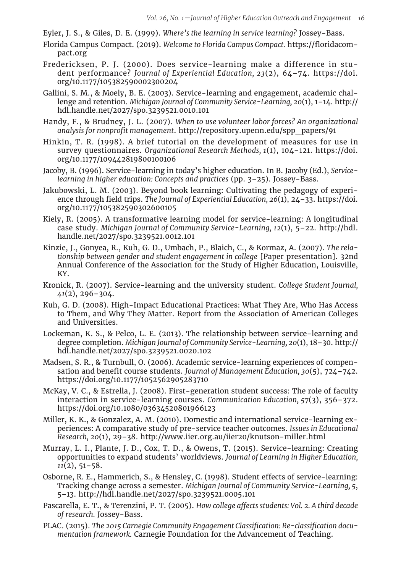Eyler, J. S., & Giles, D. E. (1999). *Where's the learning in service learning?* Jossey-Bass.

- Florida Campus Compact. (2019). *Welcome to Florida Campus Compact.* https://floridacompact.org
- Fredericksen, P. J. (2000). Does service-learning make a difference in student performance? *Journal of Experiential Education, 23*(2), 64–74. https://doi. org/10.1177/105382590002300204
- Gallini, S. M., & Moely, B. E. (2003). Service-learning and engagement, academic challenge and retention. *Michigan Journal of Community Service-Learning, 20*(1), 1–14. http:// hdl.handle.net/2027/spo.3239521.0010.101
- Handy, F., & Brudney, J. L. (2007). *When to use volunteer labor forces? An organizational analysis for nonprofit management*. http://repository.upenn.edu/spp\_papers/91
- Hinkin, T. R. (1998). A brief tutorial on the development of measures for use in survey questionnaires. *Organizational Research Methods, 1*(1), 104–121. https://doi. org/10.1177/109442819800100106
- Jacoby, B. (1996). Service-learning in today's higher education. In B. Jacoby (Ed.), *Servicelearning in higher education: Concepts and practices* (pp. 3–25). Jossey-Bass.
- Jakubowski, L. M. (2003). Beyond book learning: Cultivating the pedagogy of experience through field trips. *The Journal of Experiential Education*, 26(1), 24–33. https://doi. org/10.1177/105382590302600105
- Kiely, R. (2005). A transformative learning model for service-learning: A longitudinal case study. *Michigan Journal of Community Service-Learning, 12*(1), 5–22. http://hdl. handle.net/2027/spo.3239521.0012.101
- Kinzie, J., Gonyea, R., Kuh, G. D., Umbach, P., Blaich, C., & Kormaz, A. (2007). *The relationship between gender and student engagement in college* [Paper presentation]. 32nd Annual Conference of the Association for the Study of Higher Education, Louisville, KY.
- Kronick, R. (2007). Service-learning and the university student. *College Student Journal, 41*(2), 296–304.
- Kuh, G. D. (2008). High-Impact Educational Practices: What They Are, Who Has Access to Them, and Why They Matter. Report from the Association of American Colleges and Universities.
- Lockeman, K. S., & Pelco, L. E. (2013). The relationship between service-learning and degree completion. *Michigan Journal of Community Service-Learning, 20*(1), 18–30. http:// hdl.handle.net/2027/spo.3239521.0020.102
- Madsen, S. R., & Turnbull, O. (2006). Academic service-learning experiences of compensation and benefit course students. *Journal of Management Education, 30*(5), 724–742. https://doi.org/10.1177/1052562905283710
- McKay, V. C., & Estrella, J. (2008). First-generation student success: The role of faculty interaction in service-learning courses. *Communication Education, 57*(3), 356–372. https://doi.org/10.1080/03634520801966123
- Miller, K. K., & Gonzalez, A. M. (2010). Domestic and international service-learning experiences: A comparative study of pre-service teacher outcomes. *Issues in Educational Research, 20*(1), 29–38. http://www.iier.org.au/iier20/knutson-miller.html
- Murray, L. I., Plante, J. D., Cox, T. D., & Owens, T. (2015). Service-learning: Creating opportunities to expand students' worldviews. *Journal of Learning in Higher Education, 11*(2), 51–58.
- Osborne, R. E., Hammerich, S., & Hensley, C. (1998). Student effects of service-learning: Tracking change across a semester. *Michigan Journal of Community Service-Learning, 5*, 5–13. http://hdl.handle.net/2027/spo.3239521.0005.101
- Pascarella, E. T., & Terenzini, P. T. (2005). *How college affects students: Vol. 2. A third decade of research.* Jossey-Bass.
- PLAC. (2015). *The 2015 Carnegie Community Engagement Classification: Re-classification documentation framework.* Carnegie Foundation for the Advancement of Teaching.